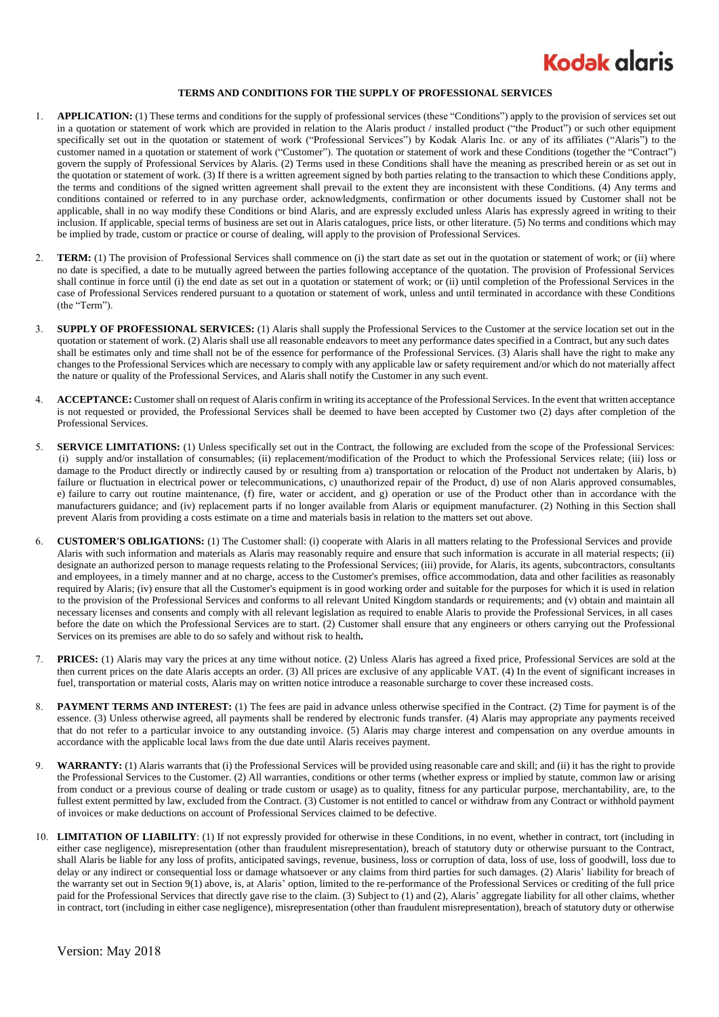

## **TERMS AND CONDITIONS FOR THE SUPPLY OF PROFESSIONAL SERVICES**

- 1. **APPLICATION:** (1) These terms and conditions for the supply of professional services (these "Conditions") apply to the provision of services set out in a quotation or statement of work which are provided in relation to the Alaris product / installed product ("the Product") or such other equipment specifically set out in the quotation or statement of work ("Professional Services") by Kodak Alaris Inc. or any of its affiliates ("Alaris") to the customer named in a quotation or statement of work ("Customer"). The quotation or statement of work and these Conditions (together the "Contract") govern the supply of Professional Services by Alaris. (2) Terms used in these Conditions shall have the meaning as prescribed herein or as set out in the quotation or statement of work. (3) If there is a written agreement signed by both parties relating to the transaction to which these Conditions apply, the terms and conditions of the signed written agreement shall prevail to the extent they are inconsistent with these Conditions. (4) Any terms and conditions contained or referred to in any purchase order, acknowledgments, confirmation or other documents issued by Customer shall not be applicable, shall in no way modify these Conditions or bind Alaris, and are expressly excluded unless Alaris has expressly agreed in writing to their inclusion. If applicable, special terms of business are set out in Alaris catalogues, price lists, or other literature. (5) No terms and conditions which may be implied by trade, custom or practice or course of dealing, will apply to the provision of Professional Services.
- 2. **TERM:** (1) The provision of Professional Services shall commence on (i) the start date as set out in the quotation or statement of work; or (ii) where no date is specified, a date to be mutually agreed between the parties following acceptance of the quotation. The provision of Professional Services shall continue in force until (i) the end date as set out in a quotation or statement of work; or (ii) until completion of the Professional Services in the case of Professional Services rendered pursuant to a quotation or statement of work, unless and until terminated in accordance with these Conditions (the "Term").
- 3. **SUPPLY OF PROFESSIONAL SERVICES:** (1) Alaris shall supply the Professional Services to the Customer at the service location set out in the quotation or statement of work. (2) Alaris shall use all reasonable endeavors to meet any performance dates specified in a Contract, but any such dates shall be estimates only and time shall not be of the essence for performance of the Professional Services. (3) Alaris shall have the right to make any changes to the Professional Services which are necessary to comply with any applicable law or safety requirement and/or which do not materially affect the nature or quality of the Professional Services, and Alaris shall notify the Customer in any such event.
- 4. **ACCEPTANCE:** Customer shall on request of Alaris confirm in writing its acceptance of the Professional Services. In the event that written acceptance is not requested or provided, the Professional Services shall be deemed to have been accepted by Customer two (2) days after completion of the Professional Services.
- 5. **SERVICE LIMITATIONS:** (1) Unless specifically set out in the Contract, the following are excluded from the scope of the Professional Services: (i) supply and/or installation of consumables; (ii) replacement/modification of the Product to which the Professional Services relate; (iii) loss or damage to the Product directly or indirectly caused by or resulting from a) transportation or relocation of the Product not undertaken by Alaris, b) failure or fluctuation in electrical power or telecommunications, c) unauthorized repair of the Product, d) use of non Alaris approved consumables, e) failure to carry out routine maintenance, (f) fire, water or accident, and g) operation or use of the Product other than in accordance with the manufacturers guidance; and (iv) replacement parts if no longer available from Alaris or equipment manufacturer. (2) Nothing in this Section shall prevent Alaris from providing a costs estimate on a time and materials basis in relation to the matters set out above.
- 6. **CUSTOMER'S OBLIGATIONS:** (1) The Customer shall: (i) cooperate with Alaris in all matters relating to the Professional Services and provide Alaris with such information and materials as Alaris may reasonably require and ensure that such information is accurate in all material respects; (ii) designate an authorized person to manage requests relating to the Professional Services; (iii) provide, for Alaris, its agents, subcontractors, consultants and employees, in a timely manner and at no charge, access to the Customer's premises, office accommodation, data and other facilities as reasonably required by Alaris; (iv) ensure that all the Customer's equipment is in good working order and suitable for the purposes for which it is used in relation to the provision of the Professional Services and conforms to all relevant United Kingdom standards or requirements; and (v) obtain and maintain all necessary licenses and consents and comply with all relevant legislation as required to enable Alaris to provide the Professional Services, in all cases before the date on which the Professional Services are to start. (2) Customer shall ensure that any engineers or others carrying out the Professional Services on its premises are able to do so safely and without risk to health**.**
- 7. **PRICES:** (1) Alaris may vary the prices at any time without notice. (2) Unless Alaris has agreed a fixed price, Professional Services are sold at the then current prices on the date Alaris accepts an order. (3) All prices are exclusive of any applicable VAT. (4) In the event of significant increases in fuel, transportation or material costs, Alaris may on written notice introduce a reasonable surcharge to cover these increased costs.
- 8. **PAYMENT TERMS AND INTEREST:** (1) The fees are paid in advance unless otherwise specified in the Contract. (2) Time for payment is of the essence. (3) Unless otherwise agreed, all payments shall be rendered by electronic funds transfer. (4) Alaris may appropriate any payments received that do not refer to a particular invoice to any outstanding invoice. (5) Alaris may charge interest and compensation on any overdue amounts in accordance with the applicable local laws from the due date until Alaris receives payment.
- 9. **WARRANTY:** (1) Alaris warrants that (i) the Professional Services will be provided using reasonable care and skill; and (ii) it has the right to provide the Professional Services to the Customer. (2) All warranties, conditions or other terms (whether express or implied by statute, common law or arising from conduct or a previous course of dealing or trade custom or usage) as to quality, fitness for any particular purpose, merchantability, are, to the fullest extent permitted by law, excluded from the Contract. (3) Customer is not entitled to cancel or withdraw from any Contract or withhold payment of invoices or make deductions on account of Professional Services claimed to be defective.
- 10. **LIMITATION OF LIABILITY**: (1) If not expressly provided for otherwise in these Conditions, in no event, whether in contract, tort (including in either case negligence), misrepresentation (other than fraudulent misrepresentation), breach of statutory duty or otherwise pursuant to the Contract, shall Alaris be liable for any loss of profits, anticipated savings, revenue, business, loss or corruption of data, loss of use, loss of goodwill, loss due to delay or any indirect or consequential loss or damage whatsoever or any claims from third parties for such damages. (2) Alaris' liability for breach of the warranty set out in Section 9(1) above, is, at Alaris' option, limited to the re-performance of the Professional Services or crediting of the full price paid for the Professional Services that directly gave rise to the claim. (3) Subject to (1) and (2), Alaris' aggregate liability for all other claims, whether in contract, tort (including in either case negligence), misrepresentation (other than fraudulent misrepresentation), breach of statutory duty or otherwise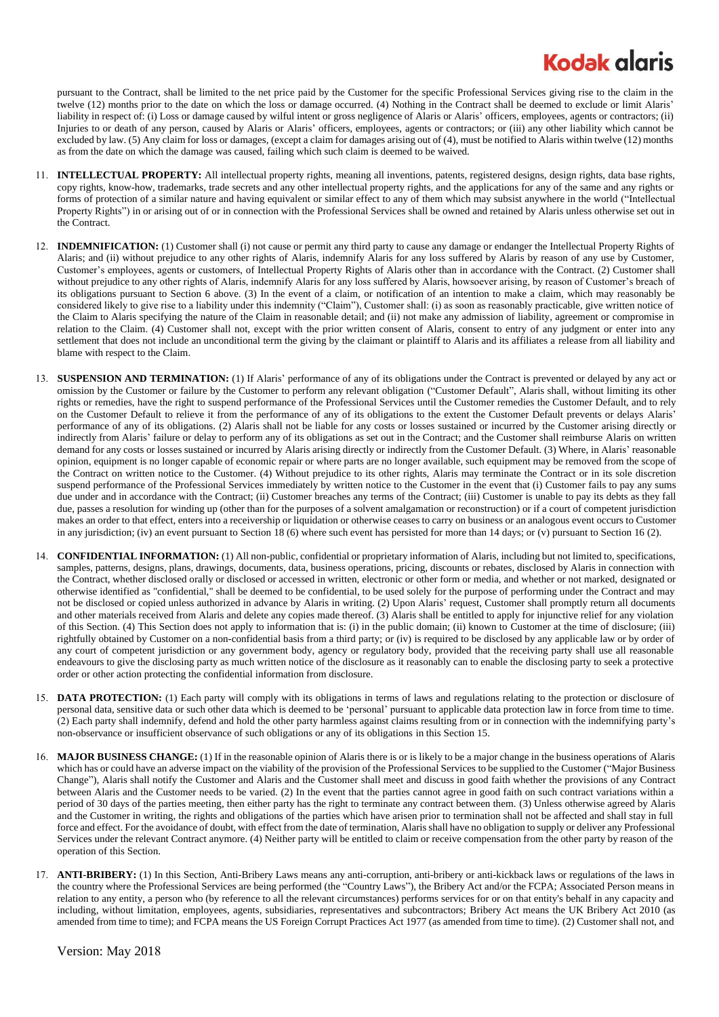## **Kodak glaris**

pursuant to the Contract, shall be limited to the net price paid by the Customer for the specific Professional Services giving rise to the claim in the twelve (12) months prior to the date on which the loss or damage occurred. (4) Nothing in the Contract shall be deemed to exclude or limit Alaris' liability in respect of: (i) Loss or damage caused by wilful intent or gross negligence of Alaris or Alaris' officers, employees, agents or contractors; (ii) Injuries to or death of any person, caused by Alaris or Alaris' officers, employees, agents or contractors; or (iii) any other liability which cannot be excluded by law. (5) Any claim for loss or damages, (except a claim for damages arising out of (4), must be notified to Alaris within twelve (12) months as from the date on which the damage was caused, failing which such claim is deemed to be waived.

- 11. **INTELLECTUAL PROPERTY:** All intellectual property rights, meaning all inventions, patents, registered designs, design rights, data base rights, copy rights, know-how, trademarks, trade secrets and any other intellectual property rights, and the applications for any of the same and any rights or forms of protection of a similar nature and having equivalent or similar effect to any of them which may subsist anywhere in the world ("Intellectual Property Rights") in or arising out of or in connection with the Professional Services shall be owned and retained by Alaris unless otherwise set out in the Contract.
- 12. **INDEMNIFICATION:** (1) Customer shall (i) not cause or permit any third party to cause any damage or endanger the Intellectual Property Rights of Alaris; and (ii) without prejudice to any other rights of Alaris, indemnify Alaris for any loss suffered by Alaris by reason of any use by Customer, Customer's employees, agents or customers, of Intellectual Property Rights of Alaris other than in accordance with the Contract. (2) Customer shall without prejudice to any other rights of Alaris, indemnify Alaris for any loss suffered by Alaris, howsoever arising, by reason of Customer's breach of its obligations pursuant to Section 6 above. (3) In the event of a claim, or notification of an intention to make a claim, which may reasonably be considered likely to give rise to a liability under this indemnity ("Claim"), Customer shall: (i) as soon as reasonably practicable, give written notice of the Claim to Alaris specifying the nature of the Claim in reasonable detail; and (ii) not make any admission of liability, agreement or compromise in relation to the Claim. (4) Customer shall not, except with the prior written consent of Alaris, consent to entry of any judgment or enter into any settlement that does not include an unconditional term the giving by the claimant or plaintiff to Alaris and its affiliates a release from all liability and blame with respect to the Claim.
- 13. **SUSPENSION AND TERMINATION:** (1) If Alaris' performance of any of its obligations under the Contract is prevented or delayed by any act or omission by the Customer or failure by the Customer to perform any relevant obligation ("Customer Default", Alaris shall, without limiting its other rights or remedies, have the right to suspend performance of the Professional Services until the Customer remedies the Customer Default, and to rely on the Customer Default to relieve it from the performance of any of its obligations to the extent the Customer Default prevents or delays Alaris' performance of any of its obligations. (2) Alaris shall not be liable for any costs or losses sustained or incurred by the Customer arising directly or indirectly from Alaris' failure or delay to perform any of its obligations as set out in the Contract; and the Customer shall reimburse Alaris on written demand for any costs or losses sustained or incurred by Alaris arising directly or indirectly from the Customer Default. (3) Where, in Alaris' reasonable opinion, equipment is no longer capable of economic repair or where parts are no longer available, such equipment may be removed from the scope of the Contract on written notice to the Customer. (4) Without prejudice to its other rights, Alaris may terminate the Contract or in its sole discretion suspend performance of the Professional Services immediately by written notice to the Customer in the event that (i) Customer fails to pay any sums due under and in accordance with the Contract; (ii) Customer breaches any terms of the Contract; (iii) Customer is unable to pay its debts as they fall due, passes a resolution for winding up (other than for the purposes of a solvent amalgamation or reconstruction) or if a court of competent jurisdiction makes an order to that effect, enters into a receivership or liquidation or otherwise ceases to carry on business or an analogous event occurs to Customer in any jurisdiction; (iv) an event pursuant to Section 18 (6) where such event has persisted for more than 14 days; or (v) pursuant to Section [16](#page-1-0) (2).
- 14. **CONFIDENTIAL INFORMATION:** (1) All non-public, confidential or proprietary information of Alaris, including but not limited to, specifications, samples, patterns, designs, plans, drawings, documents, data, business operations, pricing, discounts or rebates, disclosed by Alaris in connection with the Contract, whether disclosed orally or disclosed or accessed in written, electronic or other form or media, and whether or not marked, designated or otherwise identified as "confidential," shall be deemed to be confidential, to be used solely for the purpose of performing under the Contract and may not be disclosed or copied unless authorized in advance by Alaris in writing. (2) Upon Alaris' request, Customer shall promptly return all documents and other materials received from Alaris and delete any copies made thereof. (3) Alaris shall be entitled to apply for injunctive relief for any violation of this Section. (4) This Section does not apply to information that is: (i) in the public domain; (ii) known to Customer at the time of disclosure; (iii) rightfully obtained by Customer on a non-confidential basis from a third party; or (iv) is required to be disclosed by any applicable law or by order of any court of competent jurisdiction or any government body, agency or regulatory body, provided that the receiving party shall use all reasonable endeavours to give the disclosing party as much written notice of the disclosure as it reasonably can to enable the disclosing party to seek a protective order or other action protecting the confidential information from disclosure.
- <span id="page-1-1"></span>15. **DATA PROTECTION:** (1) Each party will comply with its obligations in terms of laws and regulations relating to the protection or disclosure of personal data, sensitive data or such other data which is deemed to be 'personal' pursuant to applicable data protection law in force from time to time. (2) Each party shall indemnify, defend and hold the other party harmless against claims resulting from or in connection with the indemnifying party's non-observance or insufficient observance of such obligations or any of its obligations in this Section [15.](#page-1-1)
- <span id="page-1-0"></span>16. **MAJOR BUSINESS CHANGE:** (1) If in the reasonable opinion of Alaris there is or is likely to be a major change in the business operations of Alaris which has or could have an adverse impact on the viability of the provision of the Professional Services to be supplied to the Customer ("Major Business") Change"), Alaris shall notify the Customer and Alaris and the Customer shall meet and discuss in good faith whether the provisions of any Contract between Alaris and the Customer needs to be varied. (2) In the event that the parties cannot agree in good faith on such contract variations within a period of 30 days of the parties meeting, then either party has the right to terminate any contract between them. (3) Unless otherwise agreed by Alaris and the Customer in writing, the rights and obligations of the parties which have arisen prior to termination shall not be affected and shall stay in full force and effect. For the avoidance of doubt, with effect from the date of termination, Alaris shall have no obligation to supply or deliver any Professional Services under the relevant Contract anymore. (4) Neither party will be entitled to claim or receive compensation from the other party by reason of the operation of this Section.
- 17. **ANTI-BRIBERY:** (1) In this Section, Anti-Bribery Laws means any anti-corruption, anti-bribery or anti-kickback laws or regulations of the laws in the country where the Professional Services are being performed (the "Country Laws"), the Bribery Act and/or the FCPA; Associated Person means in relation to any entity, a person who (by reference to all the relevant circumstances) performs services for or on that entity's behalf in any capacity and including, without limitation, employees, agents, subsidiaries, representatives and subcontractors; Bribery Act means the UK Bribery Act 2010 (as amended from time to time); and FCPA means the US Foreign Corrupt Practices Act 1977 (as amended from time to time). (2) Customer shall not, and